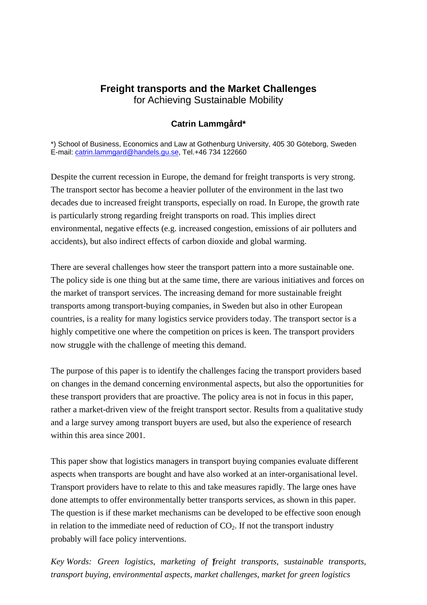# **Freight transports and the Market Challenges**  for Achieving Sustainable Mobility

### **Catrin Lammgård\***

\*) School of Business, Economics and Law at Gothenburg University, 405 30 Göteborg, Sweden E-mail: catrin.lammgard@handels.gu.se, Tel.+46 734 122660

Despite the current recession in Europe, the demand for freight transports is very strong. The transport sector has become a heavier polluter of the environment in the last two decades due to increased freight transports, especially on road. In Europe, the growth rate is particularly strong regarding freight transports on road. This implies direct environmental, negative effects (e.g. increased congestion, emissions of air polluters and accidents), but also indirect effects of carbon dioxide and global warming.

There are several challenges how steer the transport pattern into a more sustainable one. The policy side is one thing but at the same time, there are various initiatives and forces on the market of transport services. The increasing demand for more sustainable freight transports among transport-buying companies, in Sweden but also in other European countries, is a reality for many logistics service providers today. The transport sector is a highly competitive one where the competition on prices is keen. The transport providers now struggle with the challenge of meeting this demand.

The purpose of this paper is to identify the challenges facing the transport providers based on changes in the demand concerning environmental aspects, but also the opportunities for these transport providers that are proactive. The policy area is not in focus in this paper, rather a market-driven view of the freight transport sector. Results from a qualitative study and a large survey among transport buyers are used, but also the experience of research within this area since 2001.

This paper show that logistics managers in transport buying companies evaluate different aspects when transports are bought and have also worked at an inter-organisational level. Transport providers have to relate to this and take measures rapidly. The large ones have done attempts to offer environmentally better transports services, as shown in this paper. The question is if these market mechanisms can be developed to be effective soon enough in relation to the immediate need of reduction of  $CO<sub>2</sub>$ . If not the transport industry probably will face policy interventions.

1 *Key Words: Green logistics, marketing of freight transports, sustainable transports, transport buying, environmental aspects, market challenges, market for green logistics*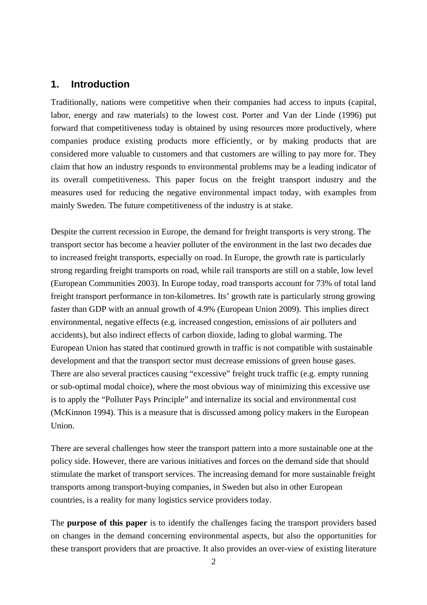# **1. Introduction**

Traditionally, nations were competitive when their companies had access to inputs (capital, labor, energy and raw materials) to the lowest cost. Porter and Van der Linde (1996) put forward that competitiveness today is obtained by using resources more productively, where companies produce existing products more efficiently, or by making products that are considered more valuable to customers and that customers are willing to pay more for. They claim that how an industry responds to environmental problems may be a leading indicator of its overall competitiveness. This paper focus on the freight transport industry and the measures used for reducing the negative environmental impact today, with examples from mainly Sweden. The future competitiveness of the industry is at stake.

Despite the current recession in Europe, the demand for freight transports is very strong. The transport sector has become a heavier polluter of the environment in the last two decades due to increased freight transports, especially on road. In Europe, the growth rate is particularly strong regarding freight transports on road, while rail transports are still on a stable, low level (European Communities 2003). In Europe today, road transports account for 73% of total land freight transport performance in ton-kilometres. Its' growth rate is particularly strong growing faster than GDP with an annual growth of 4.9% (European Union 2009). This implies direct environmental, negative effects (e.g. increased congestion, emissions of air polluters and accidents), but also indirect effects of carbon dioxide, lading to global warming. The European Union has stated that continued growth in traffic is not compatible with sustainable development and that the transport sector must decrease emissions of green house gases. There are also several practices causing "excessive" freight truck traffic (e.g. empty running or sub-optimal modal choice), where the most obvious way of minimizing this excessive use is to apply the "Polluter Pays Principle" and internalize its social and environmental cost (McKinnon 1994). This is a measure that is discussed among policy makers in the European Union.

There are several challenges how steer the transport pattern into a more sustainable one at the policy side. However, there are various initiatives and forces on the demand side that should stimulate the market of transport services. The increasing demand for more sustainable freight transports among transport-buying companies, in Sweden but also in other European countries, is a reality for many logistics service providers today.

The **purpose of this paper** is to identify the challenges facing the transport providers based on changes in the demand concerning environmental aspects, but also the opportunities for these transport providers that are proactive. It also provides an over-view of existing literature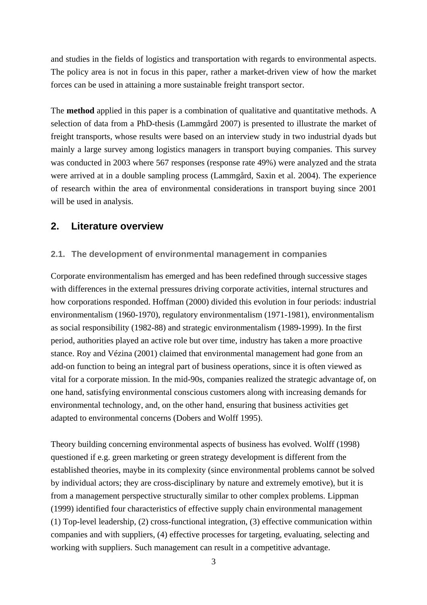and studies in the fields of logistics and transportation with regards to environmental aspects. The policy area is not in focus in this paper, rather a market-driven view of how the market forces can be used in attaining a more sustainable freight transport sector.

The **method** applied in this paper is a combination of qualitative and quantitative methods. A selection of data from a PhD-thesis (Lammgård 2007) is presented to illustrate the market of freight transports, whose results were based on an interview study in two industrial dyads but mainly a large survey among logistics managers in transport buying companies. This survey was conducted in 2003 where 567 responses (response rate 49%) were analyzed and the strata were arrived at in a double sampling process (Lammgård, Saxin et al. 2004). The experience of research within the area of environmental considerations in transport buying since 2001 will be used in analysis.

# **2. Literature overview**

# **2.1. The development of environmental management in companies**

Corporate environmentalism has emerged and has been redefined through successive stages with differences in the external pressures driving corporate activities, internal structures and how corporations responded. Hoffman (2000) divided this evolution in four periods: industrial environmentalism (1960-1970), regulatory environmentalism (1971-1981), environmentalism as social responsibility (1982-88) and strategic environmentalism (1989-1999). In the first period, authorities played an active role but over time, industry has taken a more proactive stance. Roy and Vézina (2001) claimed that environmental management had gone from an add-on function to being an integral part of business operations, since it is often viewed as vital for a corporate mission. In the mid-90s, companies realized the strategic advantage of, on one hand, satisfying environmental conscious customers along with increasing demands for environmental technology, and, on the other hand, ensuring that business activities get adapted to environmental concerns (Dobers and Wolff 1995).

Theory building concerning environmental aspects of business has evolved. Wolff (1998) questioned if e.g. green marketing or green strategy development is different from the established theories, maybe in its complexity (since environmental problems cannot be solved by individual actors; they are cross-disciplinary by nature and extremely emotive), but it is from a management perspective structurally similar to other complex problems. Lippman (1999) identified four characteristics of effective supply chain environmental management (1) Top-level leadership, (2) cross-functional integration, (3) effective communication within companies and with suppliers, (4) effective processes for targeting, evaluating, selecting and working with suppliers. Such management can result in a competitive advantage.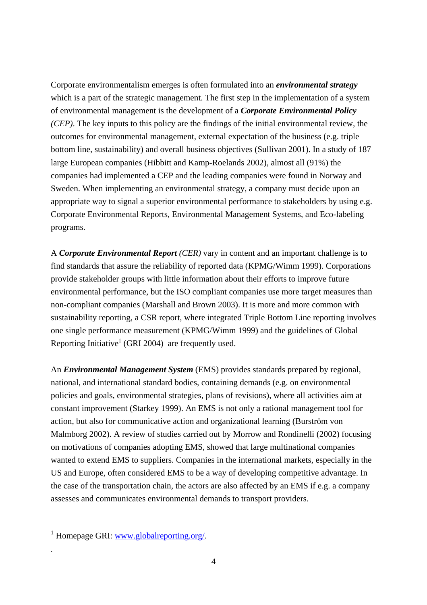Corporate environmentalism emerges is often formulated into an *environmental strategy* which is a part of the strategic management. The first step in the implementation of a system of environmental management is the development of a *Corporate Environmental Policy (CEP)*. The key inputs to this policy are the findings of the initial environmental review, the outcomes for environmental management, external expectation of the business (e.g. triple bottom line, sustainability) and overall business objectives (Sullivan 2001). In a study of 187 large European companies (Hibbitt and Kamp-Roelands 2002), almost all (91%) the companies had implemented a CEP and the leading companies were found in Norway and Sweden. When implementing an environmental strategy, a company must decide upon an appropriate way to signal a superior environmental performance to stakeholders by using e.g. Corporate Environmental Reports, Environmental Management Systems, and Eco-labeling programs.

A *Corporate Environmental Report (CER)* vary in content and an important challenge is to find standards that assure the reliability of reported data (KPMG/Wimm 1999). Corporations provide stakeholder groups with little information about their efforts to improve future environmental performance, but the ISO compliant companies use more target measures than non-compliant companies (Marshall and Brown 2003). It is more and more common with sustainability reporting, a CSR report, where integrated Triple Bottom Line reporting involves one single performance measurement (KPMG/Wimm 1999) and the guidelines of Global Reporting Initiative<sup>1</sup> (GRI 2004) are frequently used.

An *Environmental Management System* (EMS) provides standards prepared by regional, national, and international standard bodies, containing demands (e.g. on environmental policies and goals, environmental strategies, plans of revisions), where all activities aim at constant improvement (Starkey 1999). An EMS is not only a rational management tool for action, but also for communicative action and organizational learning (Burström von Malmborg 2002). A review of studies carried out by Morrow and Rondinelli (2002) focusing on motivations of companies adopting EMS, showed that large multinational companies wanted to extend EMS to suppliers. Companies in the international markets, especially in the US and Europe, often considered EMS to be a way of developing competitive advantage. In the case of the transportation chain, the actors are also affected by an EMS if e.g. a company assesses and communicates environmental demands to transport providers.

1

.

<sup>&</sup>lt;sup>1</sup> Homepage GRI: www.globalreporting.org/.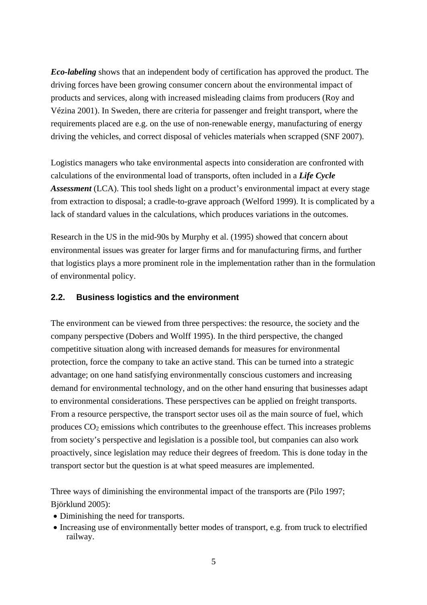*Eco-labeling* shows that an independent body of certification has approved the product. The driving forces have been growing consumer concern about the environmental impact of products and services, along with increased misleading claims from producers (Roy and Vézina 2001). In Sweden, there are criteria for passenger and freight transport, where the requirements placed are e.g. on the use of non-renewable energy, manufacturing of energy driving the vehicles, and correct disposal of vehicles materials when scrapped (SNF 2007).

Logistics managers who take environmental aspects into consideration are confronted with calculations of the environmental load of transports, often included in a *Life Cycle Assessment* (LCA). This tool sheds light on a product's environmental impact at every stage from extraction to disposal; a cradle-to-grave approach (Welford 1999). It is complicated by a lack of standard values in the calculations, which produces variations in the outcomes.

Research in the US in the mid-90s by Murphy et al. (1995) showed that concern about environmental issues was greater for larger firms and for manufacturing firms, and further that logistics plays a more prominent role in the implementation rather than in the formulation of environmental policy.

### **2.2. Business logistics and the environment**

The environment can be viewed from three perspectives: the resource, the society and the company perspective (Dobers and Wolff 1995). In the third perspective, the changed competitive situation along with increased demands for measures for environmental protection, force the company to take an active stand. This can be turned into a strategic advantage; on one hand satisfying environmentally conscious customers and increasing demand for environmental technology, and on the other hand ensuring that businesses adapt to environmental considerations. These perspectives can be applied on freight transports. From a resource perspective, the transport sector uses oil as the main source of fuel, which produces  $CO<sub>2</sub>$  emissions which contributes to the greenhouse effect. This increases problems from society's perspective and legislation is a possible tool, but companies can also work proactively, since legislation may reduce their degrees of freedom. This is done today in the transport sector but the question is at what speed measures are implemented.

Three ways of diminishing the environmental impact of the transports are (Pilo 1997; Björklund 2005):

- Diminishing the need for transports.
- Increasing use of environmentally better modes of transport, e.g. from truck to electrified railway.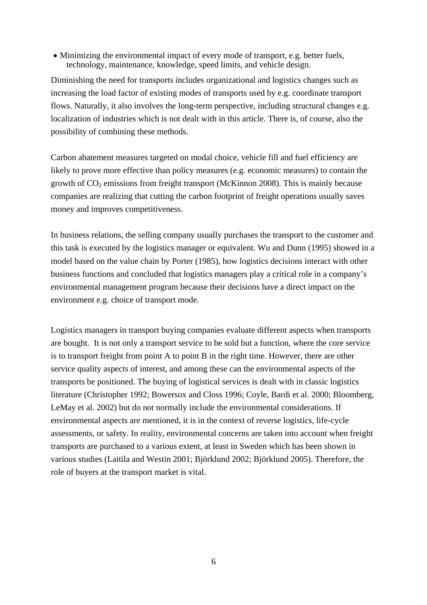• Minimizing the environmental impact of every mode of transport, e.g. better fuels, technology, maintenance, knowledge, speed limits, and vehicle design.

Diminishing the need for transports includes organizational and logistics changes such as increasing the load factor of existing modes of transports used by e.g. coordinate transport flows. Naturally, it also involves the long-term perspective, including structural changes e.g. localization of industries which is not dealt with in this article. There is, of course, also the possibility of combining these methods.

Carbon abatement measures targeted on modal choice, vehicle fill and fuel efficiency are likely to prove more effective than policy measures (e.g. economic measures) to contain the growth of  $CO<sub>2</sub>$  emissions from freight transport (McKinnon 2008). This is mainly because companies are realizing that cutting the carbon footprint of freight operations usually saves money and improves competitiveness.

In business relations, the selling company usually purchases the transport to the customer and this task is executed by the logistics manager or equivalent. Wu and Dunn (1995) showed in a model based on the value chain by Porter (1985), how logistics decisions interact with other business functions and concluded that logistics managers play a critical role in a company's environmental management program because their decisions have a direct impact on the environment e.g. choice of transport mode.

Logistics managers in transport buying companies evaluate different aspects when transports are bought. It is not only a transport service to be sold but a function, where the core service is to transport freight from point A to point B in the right time. However, there are other service quality aspects of interest, and among these can the environmental aspects of the transports be positioned. The buying of logistical services is dealt with in classic logistics literature (Christopher 1992; Bowersox and Closs 1996; Coyle, Bardi et al. 2000; Bloomberg, LeMay et al. 2002) but do not normally include the environmental considerations. If environmental aspects are mentioned, it is in the context of reverse logistics, life-cycle assessments, or safety. In reality, environmental concerns are taken into account when freight transports are purchased to a various extent, at least in Sweden which has been shown in various studies (Laitila and Westin 2001; Björklund 2002; Björklund 2005). Therefore, the role of buyers at the transport market is vital.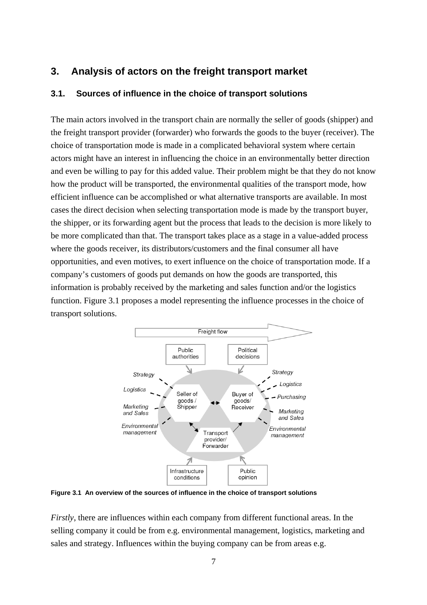# **3. Analysis of actors on the freight transport market**

### **3.1. Sources of influence in the choice of transport solutions**

The main actors involved in the transport chain are normally the seller of goods (shipper) and the freight transport provider (forwarder) who forwards the goods to the buyer (receiver). The choice of transportation mode is made in a complicated behavioral system where certain actors might have an interest in influencing the choice in an environmentally better direction and even be willing to pay for this added value. Their problem might be that they do not know how the product will be transported, the environmental qualities of the transport mode, how efficient influence can be accomplished or what alternative transports are available. In most cases the direct decision when selecting transportation mode is made by the transport buyer, the shipper, or its forwarding agent but the process that leads to the decision is more likely to be more complicated than that. The transport takes place as a stage in a value-added process where the goods receiver, its distributors/customers and the final consumer all have opportunities, and even motives, to exert influence on the choice of transportation mode. If a company's customers of goods put demands on how the goods are transported, this information is probably received by the marketing and sales function and/or the logistics function. Figure 3.1 proposes a model representing the influence processes in the choice of transport solutions.



**Figure 3.1 An overview of the sources of influence in the choice of transport solutions** 

*Firstly*, there are influences within each company from different functional areas. In the selling company it could be from e.g. environmental management, logistics, marketing and sales and strategy. Influences within the buying company can be from areas e.g.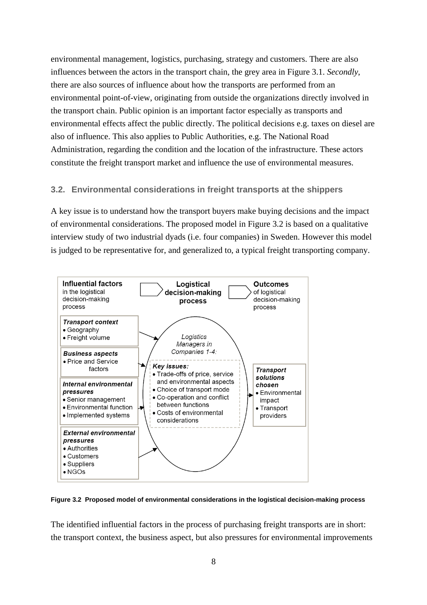environmental management, logistics, purchasing, strategy and customers. There are also influences between the actors in the transport chain, the grey area in Figure 3.1. *Secondly*, there are also sources of influence about how the transports are performed from an environmental point-of-view, originating from outside the organizations directly involved in the transport chain. Public opinion is an important factor especially as transports and environmental effects affect the public directly. The political decisions e.g. taxes on diesel are also of influence. This also applies to Public Authorities, e.g. The National Road Administration, regarding the condition and the location of the infrastructure. These actors constitute the freight transport market and influence the use of environmental measures.

### **3.2. Environmental considerations in freight transports at the shippers**

A key issue is to understand how the transport buyers make buying decisions and the impact of environmental considerations. The proposed model in Figure 3.2 is based on a qualitative interview study of two industrial dyads (i.e. four companies) in Sweden. However this model is judged to be representative for, and generalized to, a typical freight transporting company.



**Figure 3.2 Proposed model of environmental considerations in the logistical decision-making process** 

The identified influential factors in the process of purchasing freight transports are in short: the transport context, the business aspect, but also pressures for environmental improvements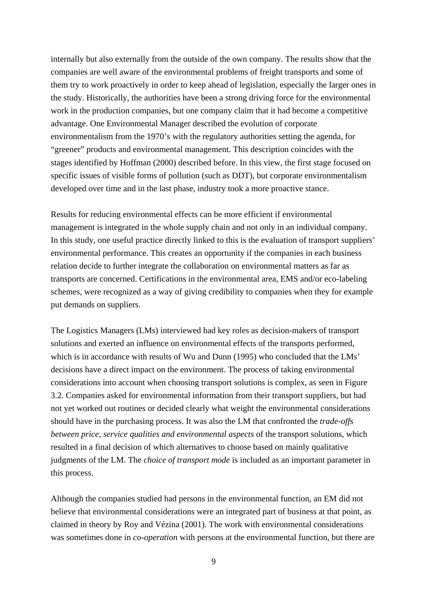internally but also externally from the outside of the own company. The results show that the companies are well aware of the environmental problems of freight transports and some of them try to work proactively in order to keep ahead of legislation, especially the larger ones in the study. Historically, the authorities have been a strong driving force for the environmental work in the production companies, but one company claim that it had become a competitive advantage. One Environmental Manager described the evolution of corporate environmentalism from the 1970's with the regulatory authorities setting the agenda, for "greener" products and environmental management. This description coincides with the stages identified by Hoffman (2000) described before. In this view, the first stage focused on specific issues of visible forms of pollution (such as DDT), but corporate environmentalism developed over time and in the last phase, industry took a more proactive stance.

Results for reducing environmental effects can be more efficient if environmental management is integrated in the whole supply chain and not only in an individual company. In this study, one useful practice directly linked to this is the evaluation of transport suppliers' environmental performance. This creates an opportunity if the companies in each business relation decide to further integrate the collaboration on environmental matters as far as transports are concerned. Certifications in the environmental area, EMS and/or eco-labeling schemes, were recognized as a way of giving credibility to companies when they for example put demands on suppliers.

The Logistics Managers (LMs) interviewed had key roles as decision-makers of transport solutions and exerted an influence on environmental effects of the transports performed, which is in accordance with results of Wu and Dunn (1995) who concluded that the LMs' decisions have a direct impact on the environment. The process of taking environmental considerations into account when choosing transport solutions is complex, as seen in Figure 3.2. Companies asked for environmental information from their transport suppliers, but had not yet worked out routines or decided clearly what weight the environmental considerations should have in the purchasing process. It was also the LM that confronted the *trade-offs between price, service qualities and environmental aspects* of the transport solutions, which resulted in a final decision of which alternatives to choose based on mainly qualitative judgments of the LM. The *choice of transport mode* is included as an important parameter in this process.

Although the companies studied had persons in the environmental function, an EM did not believe that environmental considerations were an integrated part of business at that point, as claimed in theory by Roy and Vézina (2001). The work with environmental considerations was sometimes done in *co-operation* with persons at the environmental function, but there are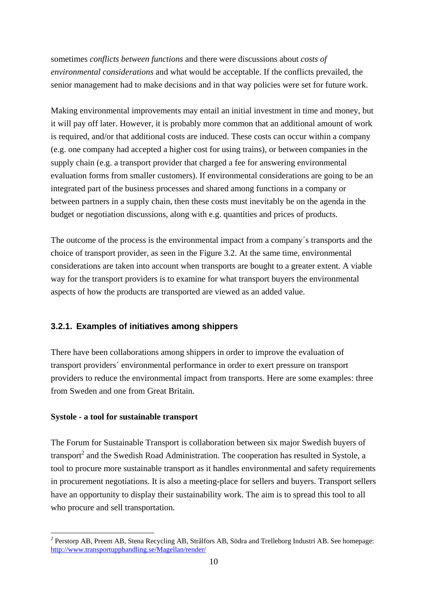sometimes *conflicts between functions* and there were discussions about *costs of environmental considerations* and what would be acceptable. If the conflicts prevailed, the senior management had to make decisions and in that way policies were set for future work.

Making environmental improvements may entail an initial investment in time and money, but it will pay off later. However, it is probably more common that an additional amount of work is required, and/or that additional costs are induced. These costs can occur within a company (e.g. one company had accepted a higher cost for using trains), or between companies in the supply chain (e.g. a transport provider that charged a fee for answering environmental evaluation forms from smaller customers). If environmental considerations are going to be an integrated part of the business processes and shared among functions in a company or between partners in a supply chain, then these costs must inevitably be on the agenda in the budget or negotiation discussions, along with e.g. quantities and prices of products.

The outcome of the process is the environmental impact from a company´s transports and the choice of transport provider, as seen in the Figure 3.2. At the same time, environmental considerations are taken into account when transports are bought to a greater extent. A viable way for the transport providers is to examine for what transport buyers the environmental aspects of how the products are transported are viewed as an added value.

# **3.2.1. Examples of initiatives among shippers**

There have been collaborations among shippers in order to improve the evaluation of transport providers´ environmental performance in order to exert pressure on transport providers to reduce the environmental impact from transports. Here are some examples: three from Sweden and one from Great Britain.

### **Systole - a tool for sustainable transport**

1

The Forum for Sustainable Transport is collaboration between six major Swedish buyers of transport<sup>2</sup> and the Swedish Road Administration. The cooperation has resulted in Systole, a tool to procure more sustainable transport as it handles environmental and safety requirements in procurement negotiations. It is also a meeting-place for sellers and buyers. Transport sellers have an opportunity to display their sustainability work. The aim is to spread this tool to all who procure and sell transportation.

<sup>&</sup>lt;sup>2</sup> Perstorp AB, Preem AB, Stena Recycling AB, Strålfors AB, Södra and Trelleborg Industri AB. See homepage: http://www.transportupphandling.se/Magellan/render/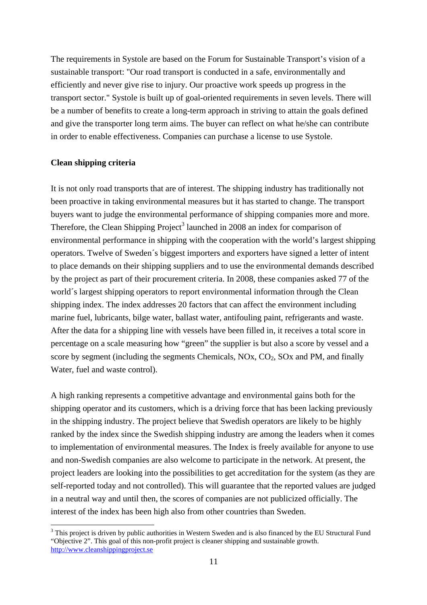The requirements in Systole are based on the Forum for Sustainable Transport's vision of a sustainable transport: "Our road transport is conducted in a safe, environmentally and efficiently and never give rise to injury. Our proactive work speeds up progress in the transport sector." Systole is built up of goal-oriented requirements in seven levels. There will be a number of benefits to create a long-term approach in striving to attain the goals defined and give the transporter long term aims. The buyer can reflect on what he/she can contribute in order to enable effectiveness. Companies can purchase a license to use Systole.

### **Clean shipping criteria**

<u>.</u>

It is not only road transports that are of interest. The shipping industry has traditionally not been proactive in taking environmental measures but it has started to change. The transport buyers want to judge the environmental performance of shipping companies more and more. Therefore, the Clean Shipping Project<sup>3</sup> launched in 2008 an index for comparison of environmental performance in shipping with the cooperation with the world's largest shipping operators. Twelve of Sweden´s biggest importers and exporters have signed a letter of intent to place demands on their shipping suppliers and to use the environmental demands described by the project as part of their procurement criteria. In 2008, these companies asked 77 of the world´s largest shipping operators to report environmental information through the Clean shipping index. The index addresses 20 factors that can affect the environment including marine fuel, lubricants, bilge water, ballast water, antifouling paint, refrigerants and waste. After the data for a shipping line with vessels have been filled in, it receives a total score in percentage on a scale measuring how "green" the supplier is but also a score by vessel and a score by segment (including the segments Chemicals,  $NOx$ ,  $CO<sub>2</sub>$ ,  $SOx$  and PM, and finally Water, fuel and waste control).

A high ranking represents a competitive advantage and environmental gains both for the shipping operator and its customers, which is a driving force that has been lacking previously in the shipping industry. The project believe that Swedish operators are likely to be highly ranked by the index since the Swedish shipping industry are among the leaders when it comes to implementation of environmental measures. The Index is freely available for anyone to use and non-Swedish companies are also welcome to participate in the network. At present, the project leaders are looking into the possibilities to get accreditation for the system (as they are self-reported today and not controlled). This will guarantee that the reported values are judged in a neutral way and until then, the scores of companies are not publicized officially. The interest of the index has been high also from other countries than Sweden.

 $3$  This project is driven by public authorities in Western Sweden and is also financed by the EU Structural Fund "Objective 2". This goal of this non-profit project is cleaner shipping and sustainable growth. http://www.cleanshippingproject.se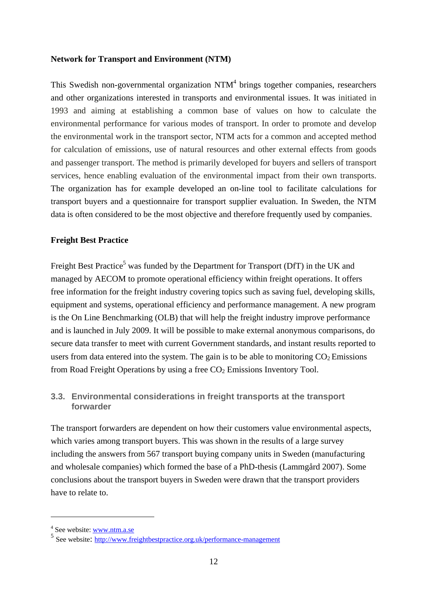### **Network for Transport and Environment (NTM)**

This Swedish non-governmental organization  $NTM<sup>4</sup>$  brings together companies, researchers and other organizations interested in transports and environmental issues. It was initiated in 1993 and aiming at establishing a common base of values on how to calculate the environmental performance for various modes of transport. In order to promote and develop the environmental work in the transport sector, NTM acts for a common and accepted method for calculation of emissions, use of natural resources and other external effects from goods and passenger transport. The method is primarily developed for buyers and sellers of transport services, hence enabling evaluation of the environmental impact from their own transports. The organization has for example developed an on-line tool to facilitate calculations for transport buyers and a questionnaire for transport supplier evaluation. In Sweden, the NTM data is often considered to be the most objective and therefore frequently used by companies.

### **Freight Best Practice**

Freight Best Practice<sup>5</sup> was funded by the Department for Transport (DfT) in the UK and managed by AECOM to promote operational efficiency within freight operations. It offers free information for the freight industry covering topics such as saving fuel, developing skills, equipment and systems, operational efficiency and performance management. A new program is the On Line Benchmarking (OLB) that will help the freight industry improve performance and is launched in July 2009. It will be possible to make external anonymous comparisons, do secure data transfer to meet with current Government standards, and instant results reported to users from data entered into the system. The gain is to be able to monitoring  $CO<sub>2</sub>$  Emissions from Road Freight Operations by using a free  $CO<sub>2</sub>$  Emissions Inventory Tool.

### **3.3. Environmental considerations in freight transports at the transport forwarder**

The transport forwarders are dependent on how their customers value environmental aspects, which varies among transport buyers. This was shown in the results of a large survey including the answers from 567 transport buying company units in Sweden (manufacturing and wholesale companies) which formed the base of a PhD-thesis (Lammgård 2007). Some conclusions about the transport buyers in Sweden were drawn that the transport providers have to relate to.

1

<sup>&</sup>lt;sup>4</sup> See website: www.ntm.a.se

<sup>5</sup> See website: http://www.freightbestpractice.org.uk/performance-management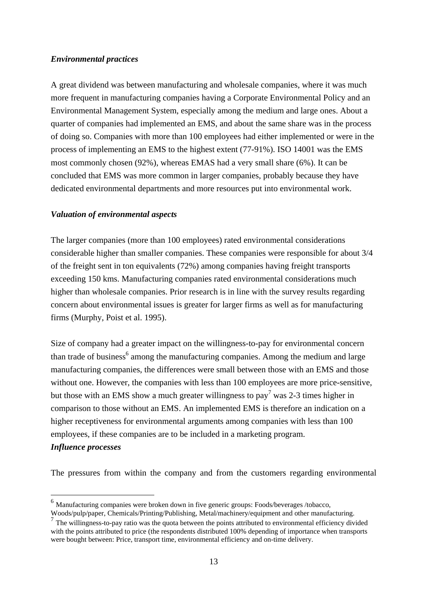### *Environmental practices*

A great dividend was between manufacturing and wholesale companies, where it was much more frequent in manufacturing companies having a Corporate Environmental Policy and an Environmental Management System, especially among the medium and large ones. About a quarter of companies had implemented an EMS, and about the same share was in the process of doing so. Companies with more than 100 employees had either implemented or were in the process of implementing an EMS to the highest extent (77-91%). ISO 14001 was the EMS most commonly chosen (92%), whereas EMAS had a very small share (6%). It can be concluded that EMS was more common in larger companies, probably because they have dedicated environmental departments and more resources put into environmental work.

### *Valuation of environmental aspects*

1

The larger companies (more than 100 employees) rated environmental considerations considerable higher than smaller companies. These companies were responsible for about 3/4 of the freight sent in ton equivalents (72%) among companies having freight transports exceeding 150 kms. Manufacturing companies rated environmental considerations much higher than wholesale companies. Prior research is in line with the survey results regarding concern about environmental issues is greater for larger firms as well as for manufacturing firms (Murphy, Poist et al. 1995).

Size of company had a greater impact on the willingness-to-pay for environmental concern than trade of business<sup>6</sup> among the manufacturing companies. Among the medium and large manufacturing companies, the differences were small between those with an EMS and those without one. However, the companies with less than 100 employees are more price-sensitive, but those with an EMS show a much greater willingness to pay<sup>7</sup> was 2-3 times higher in comparison to those without an EMS. An implemented EMS is therefore an indication on a higher receptiveness for environmental arguments among companies with less than 100 employees, if these companies are to be included in a marketing program. *Influence processes* 

The pressures from within the company and from the customers regarding environmental

 $6$  Manufacturing companies were broken down in five generic groups: Foods/beverages/tobacco,

Woods/pulp/paper, Chemicals/Printing/Publishing, Metal/machinery/equipment and other manufacturing. <sup>7</sup> The willingness-to-pay ratio was the quota between the points attributed to environmental efficiency divided

with the points attributed to price (the respondents distributed 100% depending of importance when transports were bought between: Price, transport time, environmental efficiency and on-time delivery.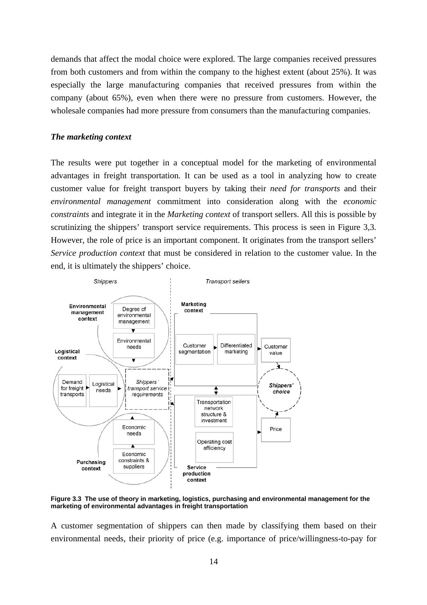demands that affect the modal choice were explored. The large companies received pressures from both customers and from within the company to the highest extent (about 25%). It was especially the large manufacturing companies that received pressures from within the company (about 65%), even when there were no pressure from customers. However, the wholesale companies had more pressure from consumers than the manufacturing companies.

#### *The marketing context*

The results were put together in a conceptual model for the marketing of environmental advantages in freight transportation. It can be used as a tool in analyzing how to create customer value for freight transport buyers by taking their *need for transports* and their *environmental management* commitment into consideration along with the *economic constraints* and integrate it in the *Marketing context* of transport sellers. All this is possible by scrutinizing the shippers' transport service requirements. This process is seen in Figure 3,3. However, the role of price is an important component. It originates from the transport sellers' *Service production context* that must be considered in relation to the customer value. In the end, it is ultimately the shippers' choice.



**Figure 3.3 The use of theory in marketing, logistics, purchasing and environmental management for the marketing of environmental advantages in freight transportation** 

A customer segmentation of shippers can then made by classifying them based on their environmental needs, their priority of price (e.g. importance of price/willingness-to-pay for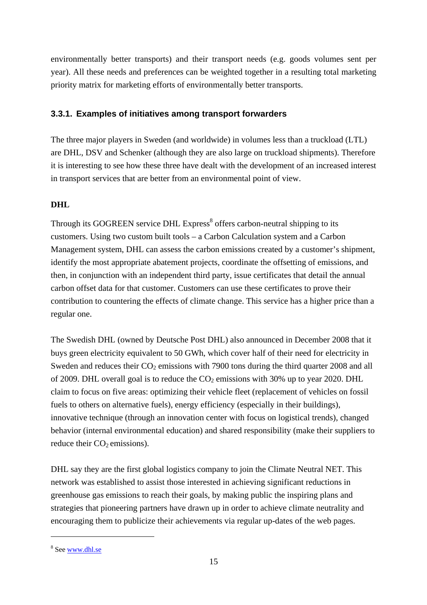environmentally better transports) and their transport needs (e.g. goods volumes sent per year). All these needs and preferences can be weighted together in a resulting total marketing priority matrix for marketing efforts of environmentally better transports.

# **3.3.1. Examples of initiatives among transport forwarders**

The three major players in Sweden (and worldwide) in volumes less than a truckload (LTL) are DHL, DSV and Schenker (although they are also large on truckload shipments). Therefore it is interesting to see how these three have dealt with the development of an increased interest in transport services that are better from an environmental point of view.

# **DHL**

Through its GOGREEN service DHL Express<sup>8</sup> offers carbon-neutral shipping to its customers. Using two custom built tools – a Carbon Calculation system and a Carbon Management system, DHL can assess the carbon emissions created by a customer's shipment, identify the most appropriate abatement projects, coordinate the offsetting of emissions, and then, in conjunction with an independent third party, issue certificates that detail the annual carbon offset data for that customer. Customers can use these certificates to prove their contribution to countering the effects of climate change. This service has a higher price than a regular one.

The Swedish DHL (owned by Deutsche Post DHL) also announced in December 2008 that it buys green electricity equivalent to 50 GWh, which cover half of their need for electricity in Sweden and reduces their  $CO<sub>2</sub>$  emissions with 7900 tons during the third quarter 2008 and all of 2009. DHL overall goal is to reduce the  $CO<sub>2</sub>$  emissions with 30% up to year 2020. DHL claim to focus on five areas: optimizing their vehicle fleet (replacement of vehicles on fossil fuels to others on alternative fuels), energy efficiency (especially in their buildings), innovative technique (through an innovation center with focus on logistical trends), changed behavior (internal environmental education) and shared responsibility (make their suppliers to reduce their  $CO<sub>2</sub>$  emissions).

DHL say they are the first global logistics company to join the Climate Neutral NET. This network was established to assist those interested in achieving significant reductions in greenhouse gas emissions to reach their goals, by making public the inspiring plans and strategies that pioneering partners have drawn up in order to achieve climate neutrality and encouraging them to publicize their achievements via regular up-dates of the web pages.

<u>.</u>

<sup>&</sup>lt;sup>8</sup> See www.dhl.se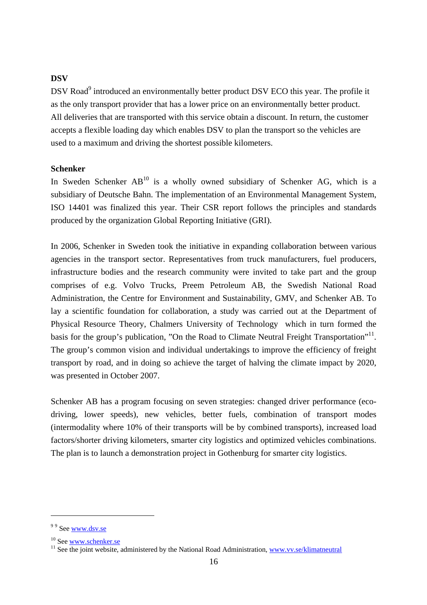### **DSV**

DSV Road<sup>9</sup> introduced an environmentally better product DSV ECO this year. The profile it as the only transport provider that has a lower price on an environmentally better product. All deliveries that are transported with this service obtain a discount. In return, the customer accepts a flexible loading day which enables DSV to plan the transport so the vehicles are used to a maximum and driving the shortest possible kilometers.

### **Schenker**

In Sweden Schenker  $AB<sup>10</sup>$  is a wholly owned subsidiary of Schenker AG, which is a subsidiary of Deutsche Bahn. The implementation of an Environmental Management System, ISO 14401 was finalized this year. Their CSR report follows the principles and standards produced by the organization Global Reporting Initiative (GRI).

In 2006, Schenker in Sweden took the initiative in expanding collaboration between various agencies in the transport sector. Representatives from truck manufacturers, fuel producers, infrastructure bodies and the research community were invited to take part and the group comprises of e.g. Volvo Trucks, Preem Petroleum AB, the Swedish National Road Administration, the Centre for Environment and Sustainability, GMV, and Schenker AB. To lay a scientific foundation for collaboration, a study was carried out at the Department of Physical Resource Theory, Chalmers University of Technology which in turn formed the basis for the group's publication, "On the Road to Climate Neutral Freight Transportation"<sup>11</sup>. The group's common vision and individual undertakings to improve the efficiency of freight transport by road, and in doing so achieve the target of halving the climate impact by 2020, was presented in October 2007.

Schenker AB has a program focusing on seven strategies: changed driver performance (ecodriving, lower speeds), new vehicles, better fuels, combination of transport modes (intermodality where 10% of their transports will be by combined transports), increased load factors/shorter driving kilometers, smarter city logistics and optimized vehicles combinations. The plan is to launch a demonstration project in Gothenburg for smarter city logistics.

1

<sup>&</sup>lt;sup>99</sup> See www.dsv.se

<sup>&</sup>lt;sup>10</sup> See <u>www.schenker.se</u><br><sup>11</sup> See the joint website, administered by the National Road Administration, www.vv.se/klimatneutral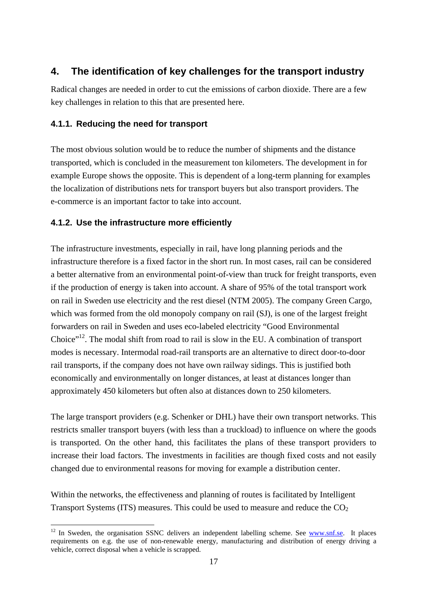# **4. The identification of key challenges for the transport industry**

Radical changes are needed in order to cut the emissions of carbon dioxide. There are a few key challenges in relation to this that are presented here.

# **4.1.1. Reducing the need for transport**

The most obvious solution would be to reduce the number of shipments and the distance transported, which is concluded in the measurement ton kilometers. The development in for example Europe shows the opposite. This is dependent of a long-term planning for examples the localization of distributions nets for transport buyers but also transport providers. The e-commerce is an important factor to take into account.

# **4.1.2. Use the infrastructure more efficiently**

<u>.</u>

The infrastructure investments, especially in rail, have long planning periods and the infrastructure therefore is a fixed factor in the short run. In most cases, rail can be considered a better alternative from an environmental point-of-view than truck for freight transports, even if the production of energy is taken into account. A share of 95% of the total transport work on rail in Sweden use electricity and the rest diesel (NTM 2005). The company Green Cargo, which was formed from the old monopoly company on rail (SJ), is one of the largest freight forwarders on rail in Sweden and uses eco-labeled electricity "Good Environmental Choice"<sup>12</sup>. The modal shift from road to rail is slow in the EU. A combination of transport modes is necessary. Intermodal road-rail transports are an alternative to direct door-to-door rail transports, if the company does not have own railway sidings. This is justified both economically and environmentally on longer distances, at least at distances longer than approximately 450 kilometers but often also at distances down to 250 kilometers.

The large transport providers (e.g. Schenker or DHL) have their own transport networks. This restricts smaller transport buyers (with less than a truckload) to influence on where the goods is transported. On the other hand, this facilitates the plans of these transport providers to increase their load factors. The investments in facilities are though fixed costs and not easily changed due to environmental reasons for moving for example a distribution center.

Within the networks, the effectiveness and planning of routes is facilitated by Intelligent Transport Systems (ITS) measures. This could be used to measure and reduce the  $CO<sub>2</sub>$ 

<sup>&</sup>lt;sup>12</sup> In Sweden, the organisation SSNC delivers an independent labelling scheme. See www.snf.se. It places requirements on e.g. the use of non-renewable energy, manufacturing and distribution of energy driving a vehicle, correct disposal when a vehicle is scrapped.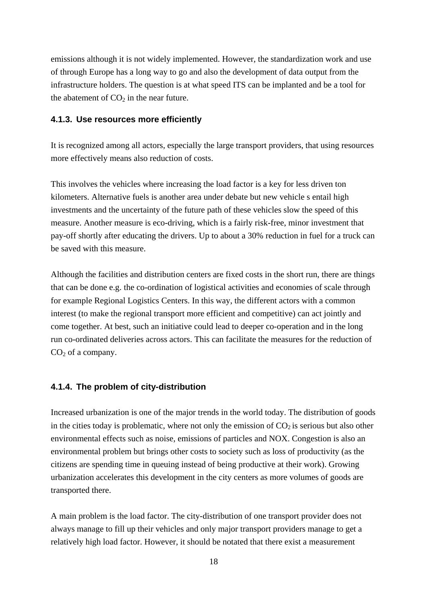emissions although it is not widely implemented. However, the standardization work and use of through Europe has a long way to go and also the development of data output from the infrastructure holders. The question is at what speed ITS can be implanted and be a tool for the abatement of  $CO<sub>2</sub>$  in the near future.

### **4.1.3. Use resources more efficiently**

It is recognized among all actors, especially the large transport providers, that using resources more effectively means also reduction of costs.

This involves the vehicles where increasing the load factor is a key for less driven ton kilometers. Alternative fuels is another area under debate but new vehicle s entail high investments and the uncertainty of the future path of these vehicles slow the speed of this measure. Another measure is eco-driving, which is a fairly risk-free, minor investment that pay-off shortly after educating the drivers. Up to about a 30% reduction in fuel for a truck can be saved with this measure.

Although the facilities and distribution centers are fixed costs in the short run, there are things that can be done e.g. the co-ordination of logistical activities and economies of scale through for example Regional Logistics Centers. In this way, the different actors with a common interest (to make the regional transport more efficient and competitive) can act jointly and come together. At best, such an initiative could lead to deeper co-operation and in the long run co-ordinated deliveries across actors. This can facilitate the measures for the reduction of  $CO<sub>2</sub>$  of a company.

### **4.1.4. The problem of city-distribution**

Increased urbanization is one of the major trends in the world today. The distribution of goods in the cities today is problematic, where not only the emission of  $CO<sub>2</sub>$  is serious but also other environmental effects such as noise, emissions of particles and NOX. Congestion is also an environmental problem but brings other costs to society such as loss of productivity (as the citizens are spending time in queuing instead of being productive at their work). Growing urbanization accelerates this development in the city centers as more volumes of goods are transported there.

A main problem is the load factor. The city-distribution of one transport provider does not always manage to fill up their vehicles and only major transport providers manage to get a relatively high load factor. However, it should be notated that there exist a measurement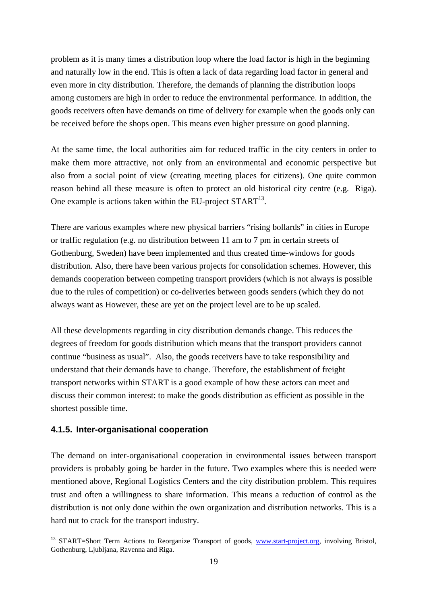problem as it is many times a distribution loop where the load factor is high in the beginning and naturally low in the end. This is often a lack of data regarding load factor in general and even more in city distribution. Therefore, the demands of planning the distribution loops among customers are high in order to reduce the environmental performance. In addition, the goods receivers often have demands on time of delivery for example when the goods only can be received before the shops open. This means even higher pressure on good planning.

At the same time, the local authorities aim for reduced traffic in the city centers in order to make them more attractive, not only from an environmental and economic perspective but also from a social point of view (creating meeting places for citizens). One quite common reason behind all these measure is often to protect an old historical city centre (e.g. Riga). One example is actions taken within the EU-project  $\text{START}^{13}$ .

There are various examples where new physical barriers "rising bollards" in cities in Europe or traffic regulation (e.g. no distribution between 11 am to 7 pm in certain streets of Gothenburg, Sweden) have been implemented and thus created time-windows for goods distribution. Also, there have been various projects for consolidation schemes. However, this demands cooperation between competing transport providers (which is not always is possible due to the rules of competition) or co-deliveries between goods senders (which they do not always want as However, these are yet on the project level are to be up scaled.

All these developments regarding in city distribution demands change. This reduces the degrees of freedom for goods distribution which means that the transport providers cannot continue "business as usual". Also, the goods receivers have to take responsibility and understand that their demands have to change. Therefore, the establishment of freight transport networks within START is a good example of how these actors can meet and discuss their common interest: to make the goods distribution as efficient as possible in the shortest possible time.

### **4.1.5. Inter-organisational cooperation**

 $\overline{a}$ 

The demand on inter-organisational cooperation in environmental issues between transport providers is probably going be harder in the future. Two examples where this is needed were mentioned above, Regional Logistics Centers and the city distribution problem. This requires trust and often a willingness to share information. This means a reduction of control as the distribution is not only done within the own organization and distribution networks. This is a hard nut to crack for the transport industry.

<sup>&</sup>lt;sup>13</sup> START=Short Term Actions to Reorganize Transport of goods, www.start-project.org, involving Bristol, Gothenburg, Ljubljana, Ravenna and Riga.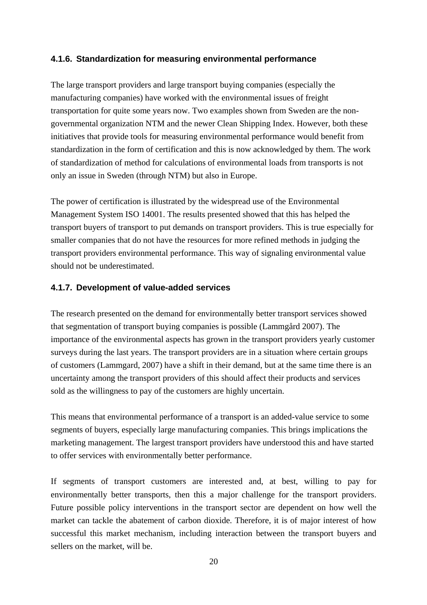## **4.1.6. Standardization for measuring environmental performance**

The large transport providers and large transport buying companies (especially the manufacturing companies) have worked with the environmental issues of freight transportation for quite some years now. Two examples shown from Sweden are the nongovernmental organization NTM and the newer Clean Shipping Index. However, both these initiatives that provide tools for measuring environmental performance would benefit from standardization in the form of certification and this is now acknowledged by them. The work of standardization of method for calculations of environmental loads from transports is not only an issue in Sweden (through NTM) but also in Europe.

The power of certification is illustrated by the widespread use of the Environmental Management System ISO 14001. The results presented showed that this has helped the transport buyers of transport to put demands on transport providers. This is true especially for smaller companies that do not have the resources for more refined methods in judging the transport providers environmental performance. This way of signaling environmental value should not be underestimated.

### **4.1.7. Development of value-added services**

The research presented on the demand for environmentally better transport services showed that segmentation of transport buying companies is possible (Lammgård 2007). The importance of the environmental aspects has grown in the transport providers yearly customer surveys during the last years. The transport providers are in a situation where certain groups of customers (Lammgard, 2007) have a shift in their demand, but at the same time there is an uncertainty among the transport providers of this should affect their products and services sold as the willingness to pay of the customers are highly uncertain.

This means that environmental performance of a transport is an added-value service to some segments of buyers, especially large manufacturing companies. This brings implications the marketing management. The largest transport providers have understood this and have started to offer services with environmentally better performance.

If segments of transport customers are interested and, at best, willing to pay for environmentally better transports, then this a major challenge for the transport providers. Future possible policy interventions in the transport sector are dependent on how well the market can tackle the abatement of carbon dioxide. Therefore, it is of major interest of how successful this market mechanism, including interaction between the transport buyers and sellers on the market, will be.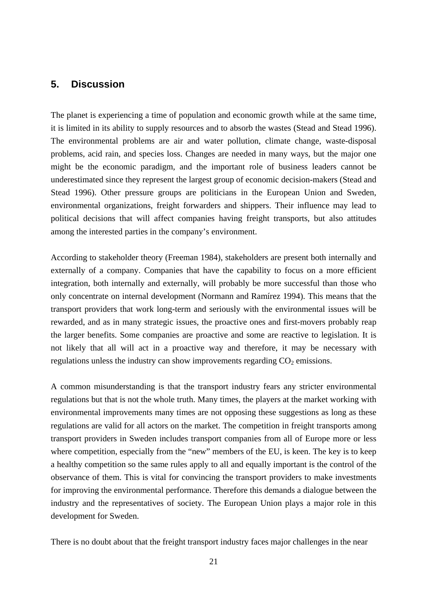# **5. Discussion**

The planet is experiencing a time of population and economic growth while at the same time, it is limited in its ability to supply resources and to absorb the wastes (Stead and Stead 1996). The environmental problems are air and water pollution, climate change, waste-disposal problems, acid rain, and species loss. Changes are needed in many ways, but the major one might be the economic paradigm, and the important role of business leaders cannot be underestimated since they represent the largest group of economic decision-makers (Stead and Stead 1996). Other pressure groups are politicians in the European Union and Sweden, environmental organizations, freight forwarders and shippers. Their influence may lead to political decisions that will affect companies having freight transports, but also attitudes among the interested parties in the company's environment.

According to stakeholder theory (Freeman 1984), stakeholders are present both internally and externally of a company. Companies that have the capability to focus on a more efficient integration, both internally and externally, will probably be more successful than those who only concentrate on internal development (Normann and Ramírez 1994). This means that the transport providers that work long-term and seriously with the environmental issues will be rewarded, and as in many strategic issues, the proactive ones and first-movers probably reap the larger benefits. Some companies are proactive and some are reactive to legislation. It is not likely that all will act in a proactive way and therefore, it may be necessary with regulations unless the industry can show improvements regarding  $CO<sub>2</sub>$  emissions.

A common misunderstanding is that the transport industry fears any stricter environmental regulations but that is not the whole truth. Many times, the players at the market working with environmental improvements many times are not opposing these suggestions as long as these regulations are valid for all actors on the market. The competition in freight transports among transport providers in Sweden includes transport companies from all of Europe more or less where competition, especially from the "new" members of the EU, is keen. The key is to keep a healthy competition so the same rules apply to all and equally important is the control of the observance of them. This is vital for convincing the transport providers to make investments for improving the environmental performance. Therefore this demands a dialogue between the industry and the representatives of society. The European Union plays a major role in this development for Sweden.

There is no doubt about that the freight transport industry faces major challenges in the near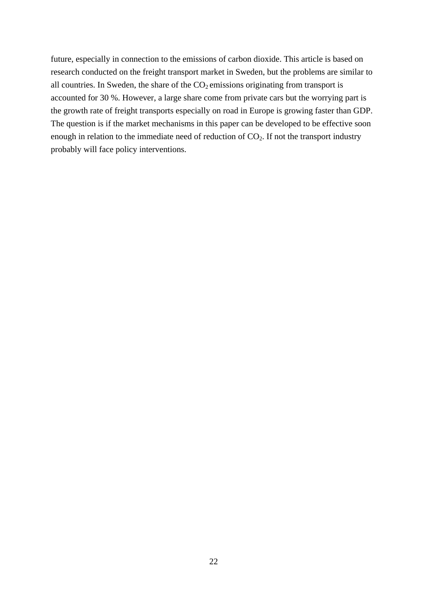future, especially in connection to the emissions of carbon dioxide. This article is based on research conducted on the freight transport market in Sweden, but the problems are similar to all countries. In Sweden, the share of the  $CO<sub>2</sub>$  emissions originating from transport is accounted for 30 %. However, a large share come from private cars but the worrying part is the growth rate of freight transports especially on road in Europe is growing faster than GDP. The question is if the market mechanisms in this paper can be developed to be effective soon enough in relation to the immediate need of reduction of  $CO<sub>2</sub>$ . If not the transport industry probably will face policy interventions.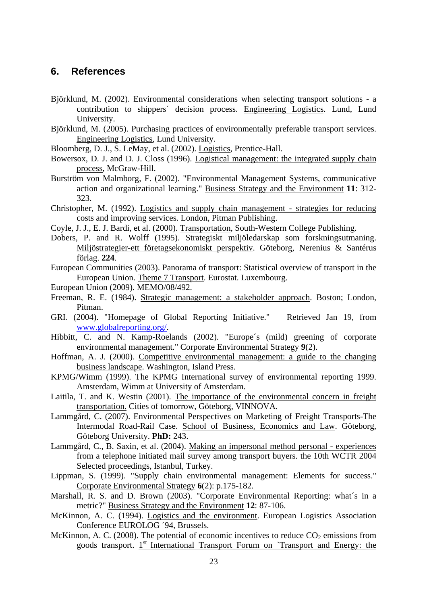# **6. References**

- Björklund, M. (2002). Environmental considerations when selecting transport solutions a contribution to shippers´ decision process. Engineering Logistics. Lund, Lund University.
- Björklund, M. (2005). Purchasing practices of environmentally preferable transport services. Engineering Logistics, Lund University.
- Bloomberg, D. J., S. LeMay, et al. (2002). Logistics, Prentice-Hall.
- Bowersox, D. J. and D. J. Closs (1996). Logistical management: the integrated supply chain process, McGraw-Hill.
- Burström von Malmborg, F. (2002). "Environmental Management Systems, communicative action and organizational learning." Business Strategy and the Environment **11**: 312- 323.
- Christopher, M. (1992). Logistics and supply chain management strategies for reducing costs and improving services. London, Pitman Publishing.
- Coyle, J. J., E. J. Bardi, et al. (2000). Transportation, South-Western College Publishing.
- Dobers, P. and R. Wolff (1995). Strategiskt miljöledarskap som forskningsutmaning. Miljöstrategier-ett företagsekonomiskt perspektiv. Göteborg, Nerenius & Santérus förlag. **224**.
- European Communities (2003). Panorama of transport: Statistical overview of transport in the European Union. Theme 7 Transport. Eurostat. Luxembourg.
- European Union (2009). MEMO/08/492.
- Freeman, R. E. (1984). Strategic management: a stakeholder approach. Boston; London, Pitman.
- GRI. (2004). "Homepage of Global Reporting Initiative." Retrieved Jan 19, from www.globalreporting.org/.
- Hibbitt, C. and N. Kamp-Roelands (2002). "Europe´s (mild) greening of corporate environmental management." Corporate Environmental Strategy **9**(2).
- Hoffman, A. J. (2000). Competitive environmental management: a guide to the changing business landscape. Washington, Island Press.
- KPMG/Wimm (1999). The KPMG International survey of environmental reporting 1999. Amsterdam, Wimm at University of Amsterdam.
- Laitila, T. and K. Westin (2001). The importance of the environmental concern in freight transportation. Cities of tomorrow, Göteborg, VINNOVA.
- Lammgård, C. (2007). Environmental Perspectives on Marketing of Freight Transports-The Intermodal Road-Rail Case. School of Business, Economics and Law. Göteborg, Göteborg University. **PhD:** 243.
- Lammgård, C., B. Saxin, et al. (2004). Making an impersonal method personal experiences from a telephone initiated mail survey among transport buyers. the 10th WCTR 2004 Selected proceedings, Istanbul, Turkey.
- Lippman, S. (1999). "Supply chain environmental management: Elements for success." Corporate Environmental Strategy **6**(2): p.175-182.
- Marshall, R. S. and D. Brown (2003). "Corporate Environmental Reporting: what's in a metric?" Business Strategy and the Environment **12**: 87-106.
- McKinnon, A. C. (1994). Logistics and the environment. European Logistics Association Conference EUROLOG ´94, Brussels.
- McKinnon, A. C. (2008). The potential of economic incentives to reduce  $CO<sub>2</sub>$  emissions from goods transport.  $1<sup>st</sup>$  International Transport Forum on `Transport and Energy: the